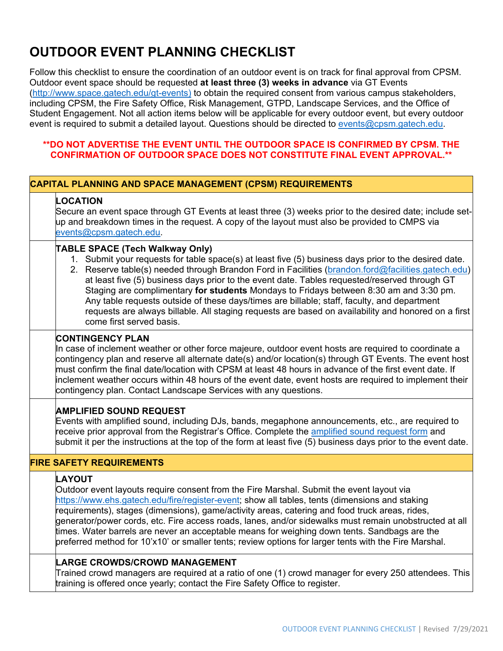# **OUTDOOR EVENT PLANNING CHECKLIST**

Follow this checklist to ensure the coordination of an outdoor event is on track for final approval from CPSM. Outdoor event space should be requested **at least three (3) weeks in advance** via GT Events [\(http://www.space.gatech.edu/gt-events\)](http://www.space.gatech.edu/gt-events) to obtain the required consent from various campus stakeholders, including CPSM, the Fire Safety Office, Risk Management, GTPD, Landscape Services, and the Office of Student Engagement. Not all action items below will be applicable for every outdoor event, but every outdoor event is required to submit a detailed layout. Questions should be directed to [events@cpsm.gatech.edu.](mailto:events@cpsm.gatech.edu)

# **\*\*DO NOT ADVERTISE THE EVENT UNTIL THE OUTDOOR SPACE IS CONFIRMED BY CPSM. THE CONFIRMATION OF OUTDOOR SPACE DOES NOT CONSTITUTE FINAL EVENT APPROVAL.\*\***

# **CAPITAL PLANNING AND SPACE MANAGEMENT (CPSM) REQUIREMENTS**

## **LOCATION**

Secure an event space through GT Events at least three (3) weeks prior to the desired date; include setup and breakdown times in the request. A copy of the layout must also be provided to CMPS via [events@cpsm.gatech.edu.](mailto:events@cpsm.gatech.edu)

## **TABLE SPACE (Tech Walkway Only)**

- 1. Submit your requests for table space(s) at least five (5) business days prior to the desired date.
- 2. Reserve table(s) needed through Brandon Ford in Facilities [\(brandon.ford@facilities.gatech.edu\)](mailto:brandon.ford@facilities.gatech.edu) at least five (5) business days prior to the event date. Tables requested/reserved through GT Staging are complimentary **for students** Mondays to Fridays between 8:30 am and 3:30 pm. Any table requests outside of these days/times are billable; staff, faculty, and department requests are always billable. All staging requests are based on availability and honored on a first come first served basis.

# **CONTINGENCY PLAN**

In case of inclement weather or other force majeure, outdoor event hosts are required to coordinate a contingency plan and reserve all alternate date(s) and/or location(s) through GT Events. The event host must confirm the final date/location with CPSM at least 48 hours in advance of the first event date. If inclement weather occurs within 48 hours of the event date, event hosts are required to implement their contingency plan. Contact Landscape Services with any questions.

# **AMPLIFIED SOUND REQUEST**

Events with amplified sound, including DJs, bands, megaphone announcements, etc., are required to receive prior approval from the Registrar's Office. Complete the [amplified sound request form](http://www.space.gatech.edu/sites/default/files/documents/AmplifiedSoundRequestForm.pdf) and submit it per the instructions at the top of the form at least five (5) business days prior to the event date.

# **FIRE SAFETY REQUIREMENTS**

## **LAYOUT**

Outdoor event layouts require consent from the Fire Marshal. Submit the event layout via [https://www.ehs.gatech.edu/fire/register-event;](https://www.ehs.gatech.edu/fire/register-event) show all tables, tents (dimensions and staking requirements), stages (dimensions), game/activity areas, catering and food truck areas, rides, generator/power cords, etc. Fire access roads, lanes, and/or sidewalks must remain unobstructed at all times. Water barrels are never an acceptable means for weighing down tents. Sandbags are the preferred method for 10'x10' or smaller tents; review options for larger tents with the Fire Marshal.

# **LARGE CROWDS/CROWD MANAGEMENT**

Trained crowd managers are required at a ratio of one (1) crowd manager for every 250 attendees. This training is offered once yearly; contact the Fire Safety Office to register.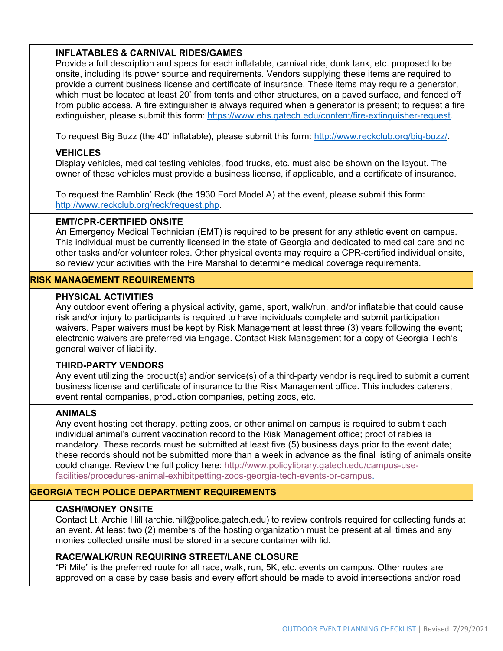# **INFLATABLES & CARNIVAL RIDES/GAMES**

Provide a full description and specs for each inflatable, carnival ride, dunk tank, etc. proposed to be onsite, including its power source and requirements. Vendors supplying these items are required to provide a current business license and certificate of insurance. These items may require a generator, which must be located at least 20' from tents and other structures, on a paved surface, and fenced off from public access. A fire extinguisher is always required when a generator is present; to request a fire extinguisher, please submit this form: [https://www.ehs.gatech.edu/content/fire-extinguisher-request.](https://www.ehs.gatech.edu/content/fire-extinguisher-request)

To request Big Buzz (the 40' inflatable), please submit this form: [http://www.reckclub.org/big-buzz/.](http://www.reckclub.org/big-buzz/)

# **VEHICLES**

Display vehicles, medical testing vehicles, food trucks, etc. must also be shown on the layout. The owner of these vehicles must provide a business license, if applicable, and a certificate of insurance.

To request the Ramblin' Reck (the 1930 Ford Model A) at the event, please submit this form: [http://www.reckclub.org/reck/request.php.](http://www.reckclub.org/reck/request.php)

#### **EMT/CPR-CERTIFIED ONSITE**

An Emergency Medical Technician (EMT) is required to be present for any athletic event on campus. This individual must be currently licensed in the state of Georgia and dedicated to medical care and no other tasks and/or volunteer roles. Other physical events may require a CPR-certified individual onsite, so review your activities with the Fire Marshal to determine medical coverage requirements.

## **RISK MANAGEMENT REQUIREMENTS**

#### **PHYSICAL ACTIVITIES**

Any outdoor event offering a physical activity, game, sport, walk/run, and/or inflatable that could cause risk and/or injury to participants is required to have individuals complete and submit participation waivers. Paper waivers must be kept by Risk Management at least three (3) years following the event; electronic waivers are preferred via Engage. Contact Risk Management for a copy of Georgia Tech's general waiver of liability.

## **THIRD-PARTY VENDORS**

Any event utilizing the product(s) and/or service(s) of a third-party vendor is required to submit a current business license and certificate of insurance to the Risk Management office. This includes caterers, event rental companies, production companies, petting zoos, etc.

## **ANIMALS**

Any event hosting pet therapy, petting zoos, or other animal on campus is required to submit each individual animal's current vaccination record to the Risk Management office; proof of rabies is mandatory. These records must be submitted at least five (5) business days prior to the event date; these records should not be submitted more than a week in advance as the final listing of animals onsite could change. Review the full policy here: [http://www.policylibrary.gatech.edu/campus-use](http://www.policylibrary.gatech.edu/campus-use-facilities/procedures-animal-exhibitpetting-zoos-georgia-tech-events-or-campus)[facilities/procedures-animal-exhibitpetting-zoos-georgia-tech-events-or-campus.](http://www.policylibrary.gatech.edu/campus-use-facilities/procedures-animal-exhibitpetting-zoos-georgia-tech-events-or-campus)

# **GEORGIA TECH POLICE DEPARTMENT REQUIREMENTS**

## **CASH/MONEY ONSITE**

Contact Lt. Archie Hill (archie.hill@police.gatech.edu) to review controls required for collecting funds at an event. At least two (2) members of the hosting organization must be present at all times and any monies collected onsite must be stored in a secure container with lid.

## **RACE/WALK/RUN REQUIRING STREET/LANE CLOSURE**

"Pi Mile" is the preferred route for all race, walk, run, 5K, etc. events on campus. Other routes are approved on a case by case basis and every effort should be made to avoid intersections and/or road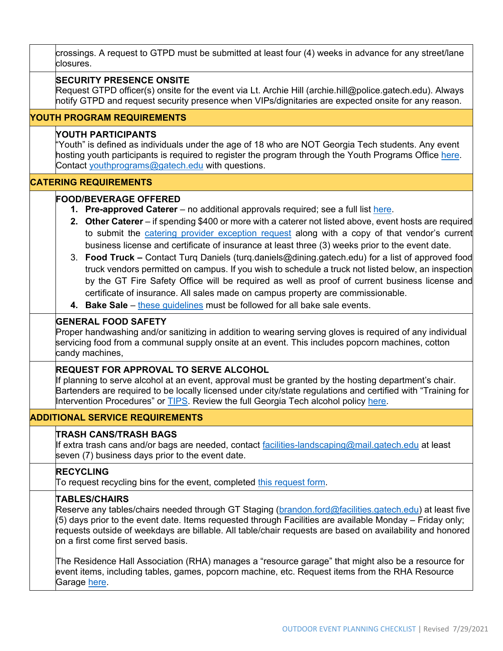| crossings. A request to GTPD must be submitted at least four (4) weeks in advance for any street/lane<br>closures.                                                                                                                                                                                                                                                                                                                                                                                                                                                                                                                                                                                                                                                                                                                                                                                           |  |  |
|--------------------------------------------------------------------------------------------------------------------------------------------------------------------------------------------------------------------------------------------------------------------------------------------------------------------------------------------------------------------------------------------------------------------------------------------------------------------------------------------------------------------------------------------------------------------------------------------------------------------------------------------------------------------------------------------------------------------------------------------------------------------------------------------------------------------------------------------------------------------------------------------------------------|--|--|
| <b>SECURITY PRESENCE ONSITE</b><br>Request GTPD officer(s) onsite for the event via Lt. Archie Hill (archie.hill@police.gatech.edu). Always<br>notify GTPD and request security presence when VIPs/dignitaries are expected onsite for any reason.                                                                                                                                                                                                                                                                                                                                                                                                                                                                                                                                                                                                                                                           |  |  |
| <b>YOUTH PROGRAM REQUIREMENTS</b>                                                                                                                                                                                                                                                                                                                                                                                                                                                                                                                                                                                                                                                                                                                                                                                                                                                                            |  |  |
| YOUTH PARTICIPANTS<br>"Youth" is defined as individuals under the age of 18 who are NOT Georgia Tech students. Any event<br>hosting youth participants is required to register the program through the Youth Programs Office here.<br>Contact youthprograms@gatech.edu with questions.                                                                                                                                                                                                                                                                                                                                                                                                                                                                                                                                                                                                                       |  |  |
| <b>CATERING REQUIREMENTS</b>                                                                                                                                                                                                                                                                                                                                                                                                                                                                                                                                                                                                                                                                                                                                                                                                                                                                                 |  |  |
| <b>FOOD/BEVERAGE OFFERED</b><br>1. Pre-approved Caterer – no additional approvals required; see a full list here.<br>2. Other Caterer – if spending \$400 or more with a caterer not listed above, event hosts are required<br>to submit the catering provider exception request along with a copy of that vendor's current<br>business license and certificate of insurance at least three (3) weeks prior to the event date.<br>3. Food Truck - Contact Turq Daniels (turq.daniels@dining.gatech.edu) for a list of approved food<br>truck vendors permitted on campus. If you wish to schedule a truck not listed below, an inspection<br>by the GT Fire Safety Office will be required as well as proof of current business license and<br>certificate of insurance. All sales made on campus property are commissionable.<br>4. Bake Sale – these guidelines must be followed for all bake sale events. |  |  |
| <b>GENERAL FOOD SAFETY</b><br>Proper handwashing and/or sanitizing in addition to wearing serving gloves is required of any individual<br>servicing food from a communal supply onsite at an event. This includes popcorn machines, cotton<br>candy machines,                                                                                                                                                                                                                                                                                                                                                                                                                                                                                                                                                                                                                                                |  |  |
| <b>REQUEST FOR APPROVAL TO SERVE ALCOHOL</b><br>If planning to serve alcohol at an event, approval must be granted by the hosting department's chair.<br>Bartenders are required to be locally licensed under city/state regulations and certified with "Training for<br>Intervention Procedures" or <b>TIPS</b> . Review the full Georgia Tech alcohol policy here.                                                                                                                                                                                                                                                                                                                                                                                                                                                                                                                                         |  |  |
| <b>ADDITIONAL SERVICE REQUIREMENTS</b>                                                                                                                                                                                                                                                                                                                                                                                                                                                                                                                                                                                                                                                                                                                                                                                                                                                                       |  |  |
| <b>TRASH CANS/TRASH BAGS</b><br>If extra trash cans and/or bags are needed, contact facilities-landscaping@mail.gatech.edu at least<br>seven (7) business days prior to the event date.                                                                                                                                                                                                                                                                                                                                                                                                                                                                                                                                                                                                                                                                                                                      |  |  |
| <b>RECYCLING</b><br>To request recycling bins for the event, completed this request form.                                                                                                                                                                                                                                                                                                                                                                                                                                                                                                                                                                                                                                                                                                                                                                                                                    |  |  |
| <b>TABLES/CHAIRS</b><br>Reserve any tables/chairs needed through GT Staging ( <u>brandon.ford@facilities.gatech.edu</u> ) at least five<br>(5) days prior to the event date. Items requested through Facilities are available Monday – Friday only;<br>requests outside of weekdays are billable. All table/chair requests are based on availability and honored<br>on a first come first served basis.                                                                                                                                                                                                                                                                                                                                                                                                                                                                                                      |  |  |
| The Residence Hall Association (RHA) manages a "resource garage" that might also be a resource for<br>event items, including tables, games, popcorn machine, etc. Request items from the RHA Resource<br>Garage here.                                                                                                                                                                                                                                                                                                                                                                                                                                                                                                                                                                                                                                                                                        |  |  |